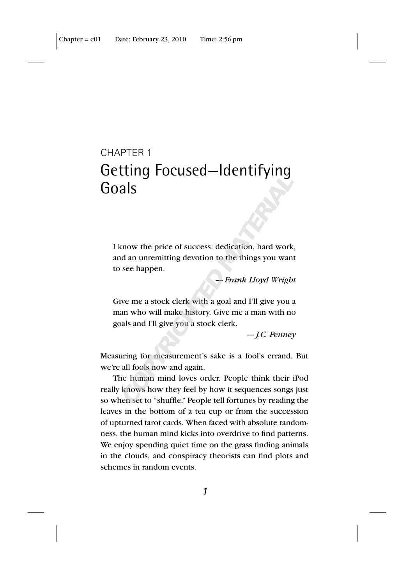# CHAPTER 1 Getting Focused—Identifying Goals

I know the price of success: dedication, hard work, and an unremitting devotion to the things you want to see happen.

*— Frank Lloyd Wright*

Give me a stock clerk with a goal and I'll give you a man who will make history. Give me a man with no goals and I'll give you a stock clerk.

*— J.C. Penney*

Measuring for measurement's sake is a fool's errand. But we're all fools now and again.

The human mind loves order. People think their iPod really knows how they feel by how it sequences songs just so when set to "shuffle." People tell fortunes by reading the leaves in the bottom of a tea cup or from the succession of upturned tarot cards. When faced with absolute randomness, the human mind kicks into overdrive to find patterns. We enjoy spending quiet time on the grass finding animals in the clouds, and conspiracy theorists can find plots and schemes in random events. **COPYRIGHTED SET AND ASSES AND THE MATERIAL SET AND NONEXT AND SET AND NOTE Thank** *Lloyd Wrigh***<br>** *COPYRIGHTED MATERIAL USP Wrigh***<br>
We me a stock clerk with a goal and I'll give you as<br>
an who will make history. Give me a m**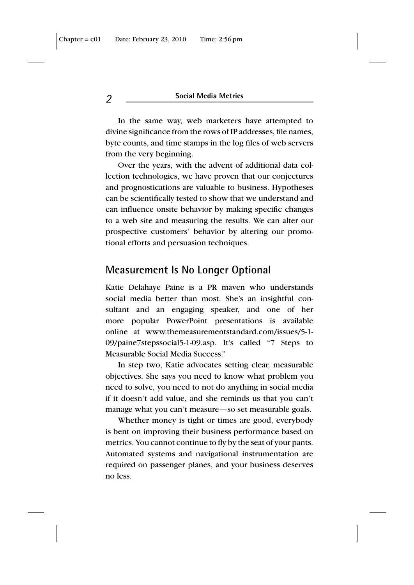In the same way, web marketers have attempted to divine significance from the rows of IP addresses, file names, byte counts, and time stamps in the log files of web servers from the very beginning.

Over the years, with the advent of additional data collection technologies, we have proven that our conjectures and prognostications are valuable to business. Hypotheses can be scientifically tested to show that we understand and can influence onsite behavior by making specific changes to a web site and measuring the results. We can alter our prospective customers' behavior by altering our promotional efforts and persuasion techniques.

# **Measurement Is No Longer Optional**

Katie Delahaye Paine is a PR maven who understands social media better than most. She's an insightful consultant and an engaging speaker, and one of her more popular PowerPoint presentations is available online at www.themeasurementstandard.com/issues/5-1- 09/paine7stepssocial5-1-09.asp. It's called "7 Steps to Measurable Social Media Success."

In step two, Katie advocates setting clear, measurable objectives. She says you need to know what problem you need to solve, you need to not do anything in social media if it doesn't add value, and she reminds us that you can't manage what you can't measure—so set measurable goals.

Whether money is tight or times are good, everybody is bent on improving their business performance based on metrics. You cannot continue to fly by the seat of your pants. Automated systems and navigational instrumentation are required on passenger planes, and your business deserves no less.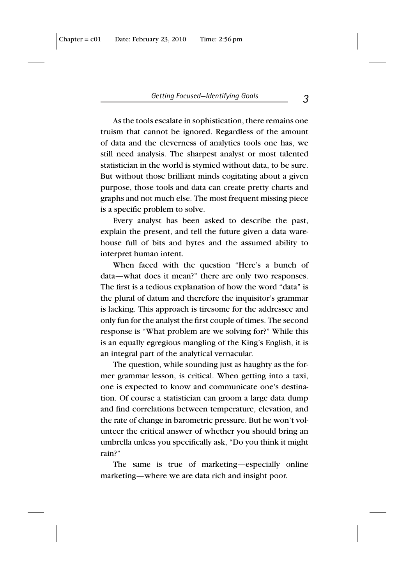As the tools escalate in sophistication, there remains one truism that cannot be ignored. Regardless of the amount of data and the cleverness of analytics tools one has, we still need analysis. The sharpest analyst or most talented statistician in the world is stymied without data, to be sure. But without those brilliant minds cogitating about a given purpose, those tools and data can create pretty charts and graphs and not much else. The most frequent missing piece is a specific problem to solve.

Every analyst has been asked to describe the past, explain the present, and tell the future given a data warehouse full of bits and bytes and the assumed ability to interpret human intent.

When faced with the question "Here's a bunch of data—what does it mean?" there are only two responses. The first is a tedious explanation of how the word "data" is the plural of datum and therefore the inquisitor's grammar is lacking. This approach is tiresome for the addressee and only fun for the analyst the first couple of times. The second response is "What problem are we solving for?" While this is an equally egregious mangling of the King's English, it is an integral part of the analytical vernacular.

The question, while sounding just as haughty as the former grammar lesson, is critical. When getting into a taxi, one is expected to know and communicate one's destination. Of course a statistician can groom a large data dump and find correlations between temperature, elevation, and the rate of change in barometric pressure. But he won't volunteer the critical answer of whether you should bring an umbrella unless you specifically ask, "Do you think it might rain?"

The same is true of marketing—especially online marketing—where we are data rich and insight poor.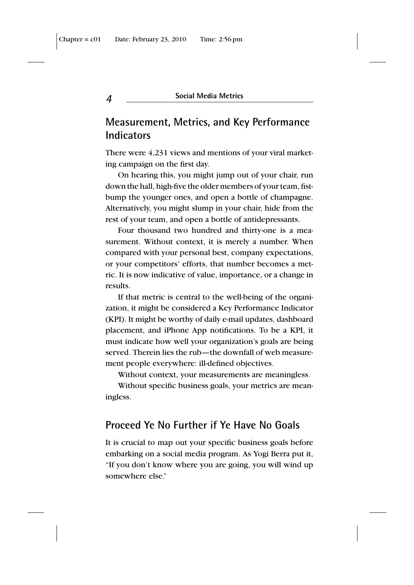# **Measurement, Metrics, and Key Performance Indicators**

There were 4,231 views and mentions of your viral marketing campaign on the first day.

On hearing this, you might jump out of your chair, run down the hall, high-five the older members of your team, fistbump the younger ones, and open a bottle of champagne. Alternatively, you might slump in your chair, hide from the rest of your team, and open a bottle of antidepressants.

Four thousand two hundred and thirty-one is a measurement. Without context, it is merely a number. When compared with your personal best, company expectations, or your competitors' efforts, that number becomes a metric. It is now indicative of value, importance, or a change in results.

If that metric is central to the well-being of the organization, it might be considered a Key Performance Indicator (KPI). It might be worthy of daily e-mail updates, dashboard placement, and iPhone App notifications. To be a KPI, it must indicate how well your organization's goals are being served. Therein lies the rub—the downfall of web measurement people everywhere: ill-defined objectives.

Without context, your measurements are meaningless.

Without specific business goals, your metrics are meaningless.

# **Proceed Ye No Further if Ye Have No Goals**

It is crucial to map out your specific business goals before embarking on a social media program. As Yogi Berra put it, "If you don't know where you are going, you will wind up somewhere else."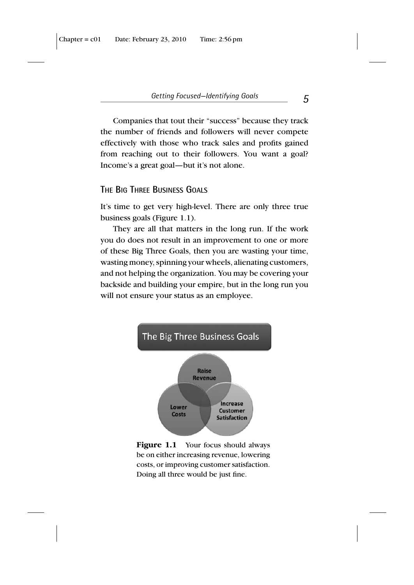Companies that tout their "success" because they track the number of friends and followers will never compete effectively with those who track sales and profits gained from reaching out to their followers. You want a goal? Income's a great goal—but it's not alone.

#### **THE BIG THREE BUSINESS GOALS**

It's time to get very high-level. There are only three true business goals (Figure 1.1).

They are all that matters in the long run. If the work you do does not result in an improvement to one or more of these Big Three Goals, then you are wasting your time, wasting money, spinning your wheels, alienating customers, and not helping the organization. You may be covering your backside and building your empire, but in the long run you will not ensure your status as an employee.



Figure 1.1 Your focus should always be on either increasing revenue, lowering costs, or improving customer satisfaction. Doing all three would be just fine.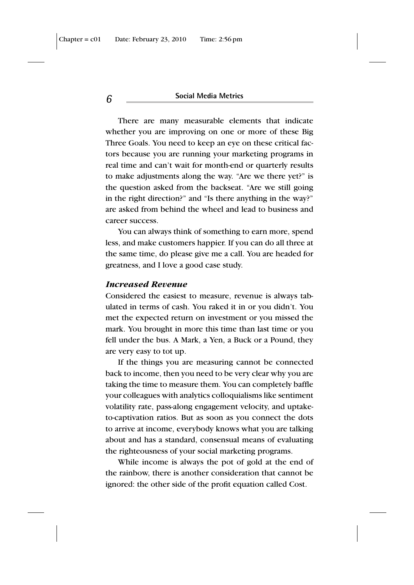There are many measurable elements that indicate whether you are improving on one or more of these Big Three Goals. You need to keep an eye on these critical factors because you are running your marketing programs in real time and can't wait for month-end or quarterly results to make adjustments along the way. "Are we there yet?" is the question asked from the backseat. "Are we still going in the right direction?" and "Is there anything in the way?" are asked from behind the wheel and lead to business and career success.

You can always think of something to earn more, spend less, and make customers happier. If you can do all three at the same time, do please give me a call. You are headed for greatness, and I love a good case study.

#### *Increased Revenue*

Considered the easiest to measure, revenue is always tabulated in terms of cash. You raked it in or you didn't. You met the expected return on investment or you missed the mark. You brought in more this time than last time or you fell under the bus. A Mark, a Yen, a Buck or a Pound, they are very easy to tot up.

If the things you are measuring cannot be connected back to income, then you need to be very clear why you are taking the time to measure them. You can completely baffle your colleagues with analytics colloquialisms like sentiment volatility rate, pass-along engagement velocity, and uptaketo-captivation ratios. But as soon as you connect the dots to arrive at income, everybody knows what you are talking about and has a standard, consensual means of evaluating the righteousness of your social marketing programs.

While income is always the pot of gold at the end of the rainbow, there is another consideration that cannot be ignored: the other side of the profit equation called Cost.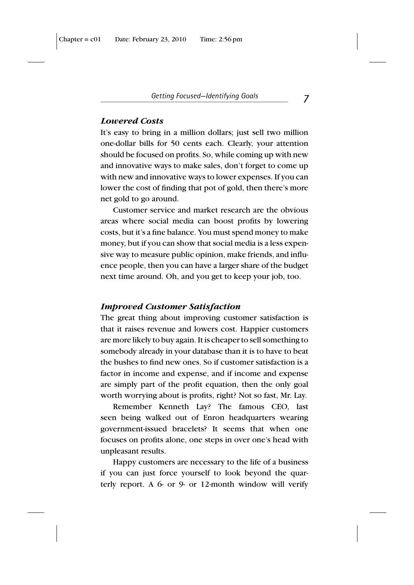#### *Lowered Costs*

It's easy to bring in a million dollars; just sell two million one-dollar bills for 50 cents each. Clearly, your attention should be focused on profits. So, while coming up with new and innovative ways to make sales, don't forget to come up with new and innovative ways to lower expenses. If you can lower the cost of finding that pot of gold, then there's more net gold to go around.

Customer service and market research are the obvious areas where social media can boost profits by lowering costs, but it's a fine balance. You must spend money to make money, but if you can show that social media is a less expensive way to measure public opinion, make friends, and influence people, then you can have a larger share of the budget next time around. Oh, and you get to keep your job, too.

#### *Improved Customer Satisfaction*

The great thing about improving customer satisfaction is that it raises revenue and lowers cost. Happier customers are more likely to buy again. It is cheaper to sell something to somebody already in your database than it is to have to beat the bushes to find new ones. So if customer satisfaction is a factor in income and expense, and if income and expense are simply part of the profit equation, then the only goal worth worrying about is profits, right? Not so fast, Mr. Lay.

Remember Kenneth Lay? The famous CEO, last seen being walked out of Enron headquarters wearing government-issued bracelets? It seems that when one focuses on profits alone, one steps in over one's head with unpleasant results.

Happy customers are necessary to the life of a business if you can just force yourself to look beyond the quarterly report. A 6- or 9- or 12-month window will verify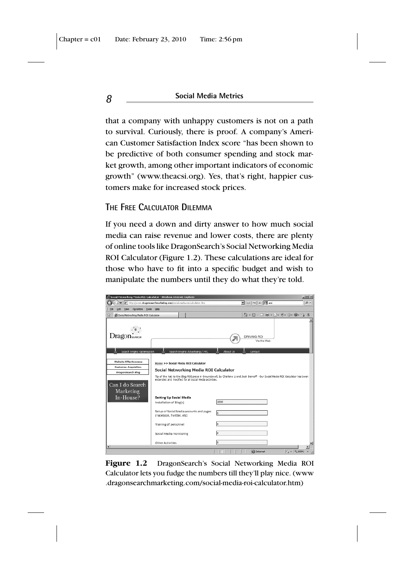that a company with unhappy customers is not on a path to survival. Curiously, there is proof. A company's American Customer Satisfaction Index score "has been shown to be predictive of both consumer spending and stock market growth, among other important indicators of economic growth" (www.theacsi.org). Yes, that's right, happier customers make for increased stock prices.

### **THE FREE CALCULATOR DILEMMA**

If you need a down and dirty answer to how much social media can raise revenue and lower costs, there are plenty of online tools like DragonSearch's Social Networking Media ROI Calculator (Figure 1.2). These calculations are ideal for those who have to fit into a specific budget and wish to manipulate the numbers until they do what they're told.

| Social Networking Media RUI Calculator - Windows Internet Explorer                                  |                                                                                                                                                                                                                                                                            |                                        | $  $ $  $ $\times$ $ $ |
|-----------------------------------------------------------------------------------------------------|----------------------------------------------------------------------------------------------------------------------------------------------------------------------------------------------------------------------------------------------------------------------------|----------------------------------------|------------------------|
|                                                                                                     | [2] http://www.dragonsearchmarketing.com/social-media-roi-calculator.htm                                                                                                                                                                                                   | $\Box$ $\Box$ + $\times$ $\Box$ act    | $\rho$ .               |
| Favorites<br>Edit<br>Uleva -<br>File                                                                | Tools Help                                                                                                                                                                                                                                                                 |                                        |                        |
| Social Networking Media ROI Calculator<br>sæ                                                        |                                                                                                                                                                                                                                                                            | ☆ - 5 - 그 - - 2 - 0 - 0 - 0 - 0 - 3    |                        |
| $D$ ragon SEARCH                                                                                    |                                                                                                                                                                                                                                                                            | DRIVING ROI<br>Via the Web<br>About Us |                        |
| Search Engine Optimization                                                                          | Search Engine Advertising / PPC                                                                                                                                                                                                                                            | Contact                                |                        |
| <b>Website Effectiveness</b><br><b>Customer Acquisition</b><br>DragonSearch Blog<br>Can I do Search | Home >> Social Media ROI Calculator<br>Social Networking Media ROI Calculator<br>Tip of the hat to the Blog ROI piece in Groundswell, by Charlene Li and Josh Bernoff - Our Social Media ROI Calculator has been<br>extended and modified for all Social Media activities. |                                        |                        |
| Marketing<br>In-House?                                                                              | Setting Up Social Media<br>Installation of Blog(s)                                                                                                                                                                                                                         | 2000                                   |                        |
|                                                                                                     | Setup of Social Media accounts and pages<br>(Facebook, Twitter, etc)                                                                                                                                                                                                       | lo.                                    |                        |
|                                                                                                     | Training of personnel                                                                                                                                                                                                                                                      | la                                     |                        |
|                                                                                                     | Social Media monitoring                                                                                                                                                                                                                                                    | l٥                                     |                        |
| $\blacksquare$                                                                                      | Other Activities                                                                                                                                                                                                                                                           | lo                                     |                        |
|                                                                                                     |                                                                                                                                                                                                                                                                            | $54 - 8100%$<br><b>D</b> Internet      |                        |

**Figure 1.2** DragonSearch's Social Networking Media ROI Calculator lets you fudge the numbers till they'll play nice. (www .dragonsearchmarketing.com/social-media-roi-calculator.htm)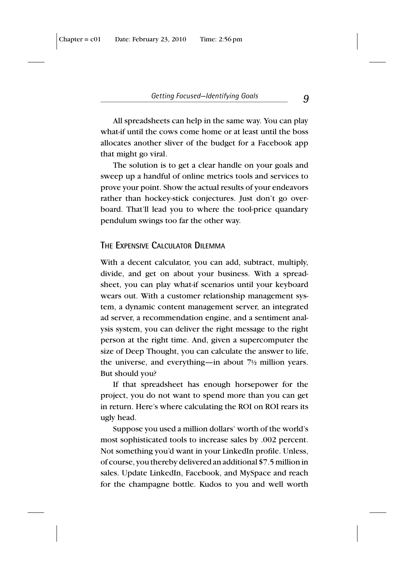All spreadsheets can help in the same way. You can play what-if until the cows come home or at least until the boss allocates another sliver of the budget for a Facebook app that might go viral.

The solution is to get a clear handle on your goals and sweep up a handful of online metrics tools and services to prove your point. Show the actual results of your endeavors rather than hockey-stick conjectures. Just don't go overboard. That'll lead you to where the tool-price quandary pendulum swings too far the other way.

#### **THE EXPENSIVE CALCULATOR DILEMMA**

With a decent calculator, you can add, subtract, multiply, divide, and get on about your business. With a spreadsheet, you can play what-if scenarios until your keyboard wears out. With a customer relationship management system, a dynamic content management server, an integrated ad server, a recommendation engine, and a sentiment analysis system, you can deliver the right message to the right person at the right time. And, given a supercomputer the size of Deep Thought, you can calculate the answer to life, the universe, and everything—in about 7½ million years. But should you?

If that spreadsheet has enough horsepower for the project, you do not want to spend more than you can get in return. Here's where calculating the ROI on ROI rears its ugly head.

Suppose you used a million dollars' worth of the world's most sophisticated tools to increase sales by .002 percent. Not something you'd want in your LinkedIn profile. Unless, of course, you thereby delivered an additional \$7.5 million in sales. Update LinkedIn, Facebook, and MySpace and reach for the champagne bottle. Kudos to you and well worth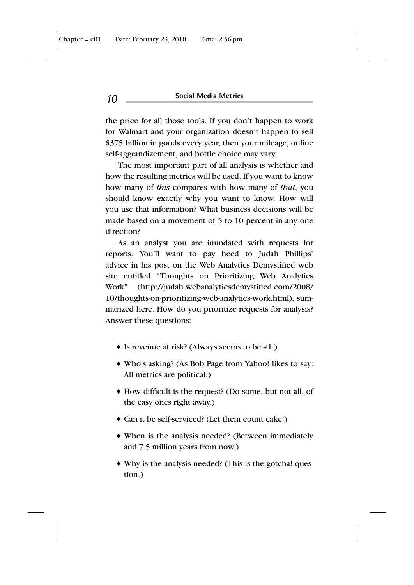the price for all those tools. If you don't happen to work for Walmart and your organization doesn't happen to sell \$375 billion in goods every year, then your mileage, online self-aggrandizement, and bottle choice may vary.

The most important part of all analysis is whether and how the resulting metrics will be used. If you want to know how many of *this* compares with how many of *that*, you should know exactly why you want to know. How will you use that information? What business decisions will be made based on a movement of 5 to 10 percent in any one direction?

As an analyst you are inundated with requests for reports. You'll want to pay heed to Judah Phillips' advice in his post on the Web Analytics Demystified web site entitled "Thoughts on Prioritizing Web Analytics Work" (http://judah.webanalyticsdemystified.com/2008/ 10/thoughts-on-prioritizing-web-analytics-work.html), summarized here. How do you prioritize requests for analysis? Answer these questions:

- Is revenue at risk? (Always seems to be #1.)
- Who's asking? (As Bob Page from Yahoo! likes to say: All metrics are political.)
- How difficult is the request? (Do some, but not all, of the easy ones right away.)
- Can it be self-serviced? (Let them count cake!)
- When is the analysis needed? (Between immediately and 7.5 million years from now.)
- Why is the analysis needed? (This is the gotcha! question.)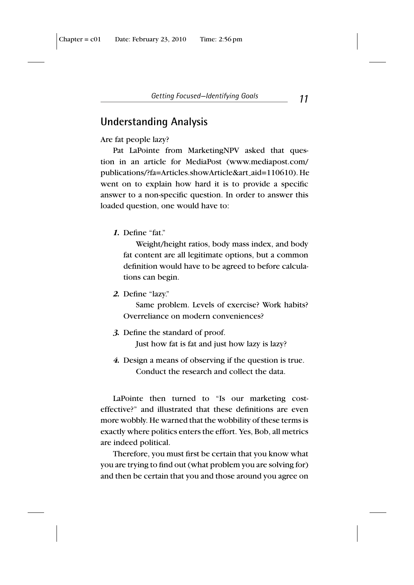# **Understanding Analysis**

Are fat people lazy?

Pat LaPointe from MarketingNPV asked that question in an article for MediaPost (www.mediapost.com/ publications/?fa=Articles.showArticle&art aid=110610). He went on to explain how hard it is to provide a specific answer to a non-specific question. In order to answer this loaded question, one would have to:

*1.* Define "fat."

Weight/height ratios, body mass index, and body fat content are all legitimate options, but a common definition would have to be agreed to before calculations can begin.

*2.* Define "lazy."

Same problem. Levels of exercise? Work habits? Overreliance on modern conveniences?

- *3.* Define the standard of proof. Just how fat is fat and just how lazy is lazy?
- *4.* Design a means of observing if the question is true. Conduct the research and collect the data.

LaPointe then turned to "Is our marketing costeffective?" and illustrated that these definitions are even more wobbly. He warned that the wobbility of these terms is exactly where politics enters the effort. Yes, Bob, all metrics are indeed political.

Therefore, you must first be certain that you know what you are trying to find out (what problem you are solving for) and then be certain that you and those around you agree on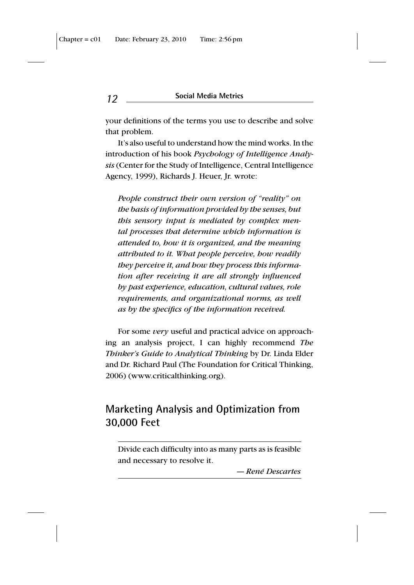your definitions of the terms you use to describe and solve that problem.

It's also useful to understand how the mind works. In the introduction of his book *Psychology of Intelligence Analysis* (Center for the Study of Intelligence, Central Intelligence Agency, 1999), Richards J. Heuer, Jr. wrote:

*People construct their own version of "reality" on the basis of information provided by the senses, but this sensory input is mediated by complex mental processes that determine which information is attended to, how it is organized, and the meaning attributed to it. What people perceive, how readily they perceive it, and how they process this information after receiving it are all strongly influenced by past experience, education, cultural values, role requirements, and organizational norms, as well as by the specifics of the information received.*

For some *very* useful and practical advice on approaching an analysis project, I can highly recommend *The Thinker's Guide to Analytical Thinking* by Dr. Linda Elder and Dr. Richard Paul (The Foundation for Critical Thinking, 2006) (www.criticalthinking.org).

# **Marketing Analysis and Optimization from 30,000 Feet**

Divide each difficulty into as many parts as is feasible and necessary to resolve it.

*— Rene Descartes ´*